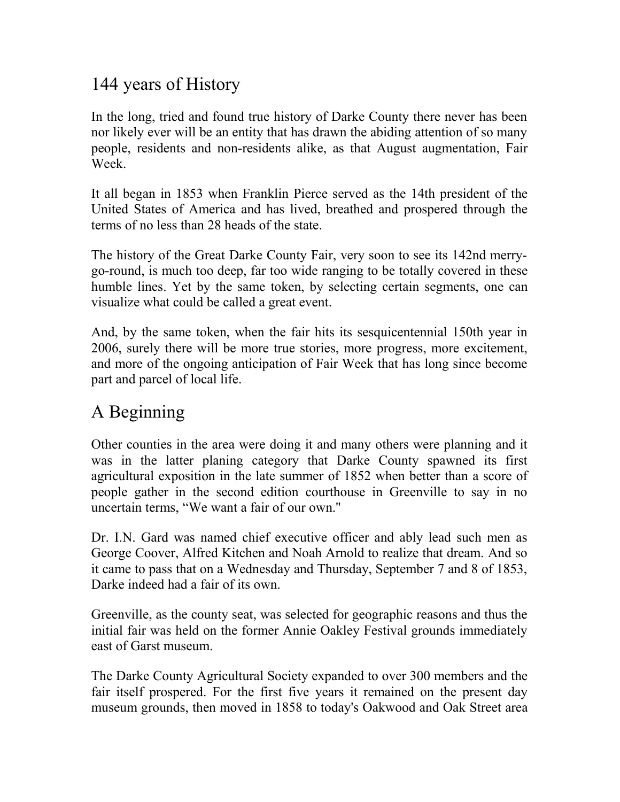# 144 years of History

In the long, tried and found true history of Darke County there never has been nor likely ever will be an entity that has drawn the abiding attention of so many people, residents and non-residents alike, as that August augmentation, Fair Week

It all began in 1853 when Franklin Pierce served as the 14th president of the United States of America and has lived, breathed and prospered through the terms of no less than 28 heads of the state.

The history of the Great Darke County Fair, very soon to see its 142nd merrygo-round, is much too deep, far too wide ranging to be totally covered in these humble lines. Yet by the same token, by selecting certain segments, one can visualize what could be called a great event.

And, by the same token, when the fair hits its sesquicentennial 150th year in 2006, surely there will be more true stories, more progress, more excitement, and more of the ongoing anticipation of Fair Week that has long since become part and parcel of local life.

## A Beginning

Other counties in the area were doing it and many others were planning and it was in the latter planing category that Darke County spawned its first agricultural exposition in the late summer of 1852 when better than a score of people gather in the second edition courthouse in Greenville to say in no uncertain terms, "We want a fair of our own.''

Dr. I.N. Gard was named chief executive officer and ably lead such men as George Coover, Alfred Kitchen and Noah Arnold to realize that dream. And so it came to pass that on a Wednesday and Thursday, September 7 and 8 of 1853, Darke indeed had a fair of its own.

Greenville, as the county seat, was selected for geographic reasons and thus the initial fair was held on the former Annie Oakley Festival grounds immediately east of Garst museum.

The Darke County Agricultural Society expanded to over 300 members and the fair itself prospered. For the first five years it remained on the present day museum grounds, then moved in 1858 to today's Oakwood and Oak Street area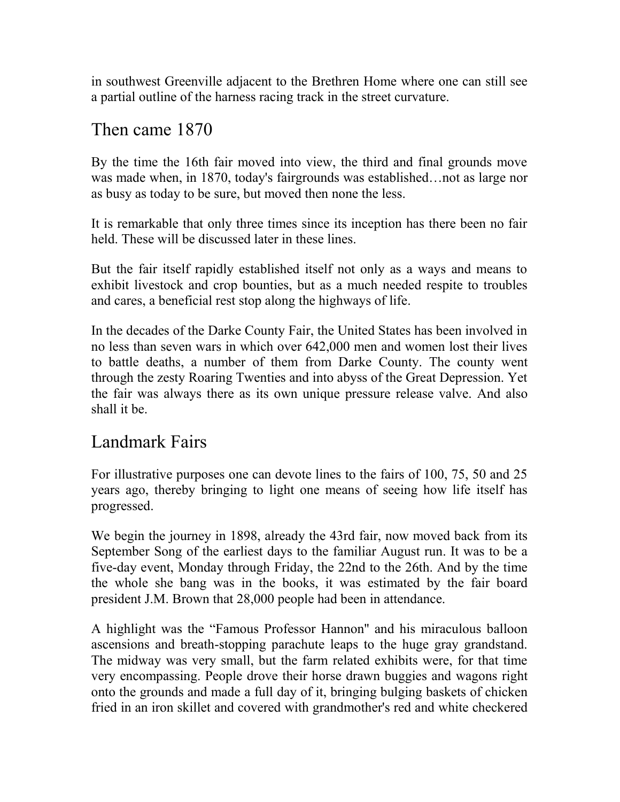in southwest Greenville adjacent to the Brethren Home where one can still see a partial outline of the harness racing track in the street curvature.

### Then came 1870

By the time the 16th fair moved into view, the third and final grounds move was made when, in 1870, today's fairgrounds was established…not as large nor as busy as today to be sure, but moved then none the less.

It is remarkable that only three times since its inception has there been no fair held. These will be discussed later in these lines.

But the fair itself rapidly established itself not only as a ways and means to exhibit livestock and crop bounties, but as a much needed respite to troubles and cares, a beneficial rest stop along the highways of life.

In the decades of the Darke County Fair, the United States has been involved in no less than seven wars in which over 642,000 men and women lost their lives to battle deaths, a number of them from Darke County. The county went through the zesty Roaring Twenties and into abyss of the Great Depression. Yet the fair was always there as its own unique pressure release valve. And also shall it be.

### Landmark Fairs

For illustrative purposes one can devote lines to the fairs of 100, 75, 50 and 25 years ago, thereby bringing to light one means of seeing how life itself has progressed.

We begin the journey in 1898, already the 43rd fair, now moved back from its September Song of the earliest days to the familiar August run. It was to be a five-day event, Monday through Friday, the 22nd to the 26th. And by the time the whole she bang was in the books, it was estimated by the fair board president J.M. Brown that 28,000 people had been in attendance.

A highlight was the "Famous Professor Hannon'' and his miraculous balloon ascensions and breath-stopping parachute leaps to the huge gray grandstand. The midway was very small, but the farm related exhibits were, for that time very encompassing. People drove their horse drawn buggies and wagons right onto the grounds and made a full day of it, bringing bulging baskets of chicken fried in an iron skillet and covered with grandmother's red and white checkered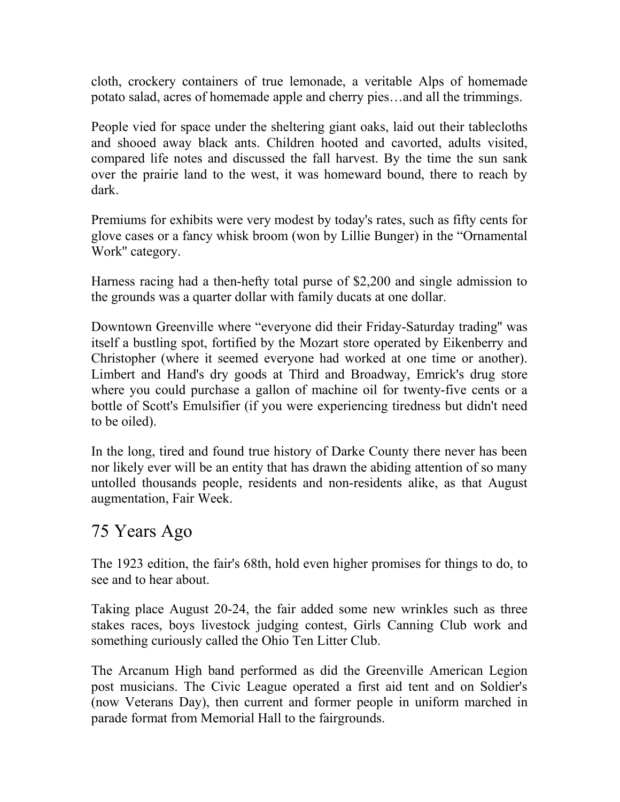cloth, crockery containers of true lemonade, a veritable Alps of homemade potato salad, acres of homemade apple and cherry pies…and all the trimmings.

People vied for space under the sheltering giant oaks, laid out their tablecloths and shooed away black ants. Children hooted and cavorted, adults visited, compared life notes and discussed the fall harvest. By the time the sun sank over the prairie land to the west, it was homeward bound, there to reach by dark.

Premiums for exhibits were very modest by today's rates, such as fifty cents for glove cases or a fancy whisk broom (won by Lillie Bunger) in the "Ornamental Work'' category.

Harness racing had a then-hefty total purse of \$2,200 and single admission to the grounds was a quarter dollar with family ducats at one dollar.

Downtown Greenville where "everyone did their Friday-Saturday trading'' was itself a bustling spot, fortified by the Mozart store operated by Eikenberry and Christopher (where it seemed everyone had worked at one time or another). Limbert and Hand's dry goods at Third and Broadway, Emrick's drug store where you could purchase a gallon of machine oil for twenty-five cents or a bottle of Scott's Emulsifier (if you were experiencing tiredness but didn't need to be oiled).

In the long, tired and found true history of Darke County there never has been nor likely ever will be an entity that has drawn the abiding attention of so many untolled thousands people, residents and non-residents alike, as that August augmentation, Fair Week.

### 75 Years Ago

The 1923 edition, the fair's 68th, hold even higher promises for things to do, to see and to hear about.

Taking place August 20-24, the fair added some new wrinkles such as three stakes races, boys livestock judging contest, Girls Canning Club work and something curiously called the Ohio Ten Litter Club.

The Arcanum High band performed as did the Greenville American Legion post musicians. The Civic League operated a first aid tent and on Soldier's (now Veterans Day), then current and former people in uniform marched in parade format from Memorial Hall to the fairgrounds.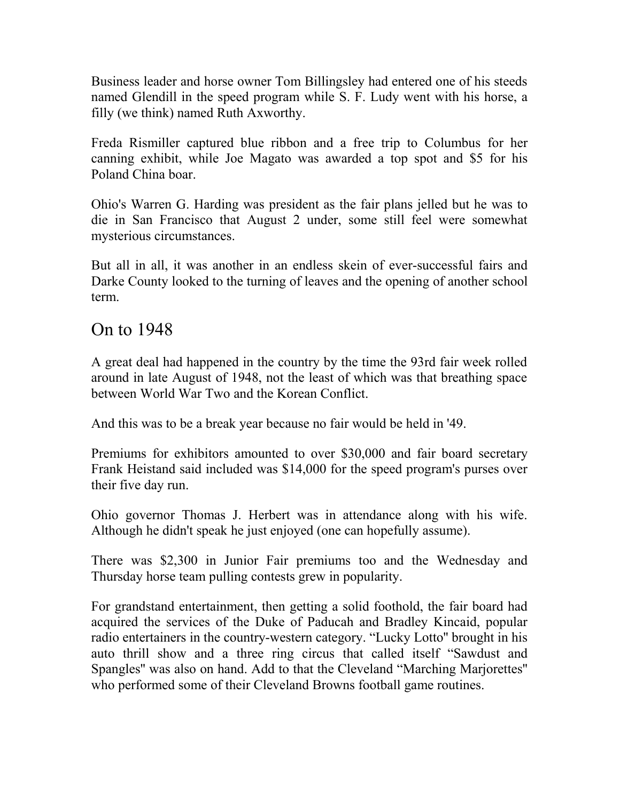Business leader and horse owner Tom Billingsley had entered one of his steeds named Glendill in the speed program while S. F. Ludy went with his horse, a filly (we think) named Ruth Axworthy.

Freda Rismiller captured blue ribbon and a free trip to Columbus for her canning exhibit, while Joe Magato was awarded a top spot and \$5 for his Poland China boar.

Ohio's Warren G. Harding was president as the fair plans jelled but he was to die in San Francisco that August 2 under, some still feel were somewhat mysterious circumstances.

But all in all, it was another in an endless skein of ever-successful fairs and Darke County looked to the turning of leaves and the opening of another school term.

#### On to 1948

A great deal had happened in the country by the time the 93rd fair week rolled around in late August of 1948, not the least of which was that breathing space between World War Two and the Korean Conflict.

And this was to be a break year because no fair would be held in '49.

Premiums for exhibitors amounted to over \$30,000 and fair board secretary Frank Heistand said included was \$14,000 for the speed program's purses over their five day run.

Ohio governor Thomas J. Herbert was in attendance along with his wife. Although he didn't speak he just enjoyed (one can hopefully assume).

There was \$2,300 in Junior Fair premiums too and the Wednesday and Thursday horse team pulling contests grew in popularity.

For grandstand entertainment, then getting a solid foothold, the fair board had acquired the services of the Duke of Paducah and Bradley Kincaid, popular radio entertainers in the country-western category. "Lucky Lotto'' brought in his auto thrill show and a three ring circus that called itself "Sawdust and Spangles'' was also on hand. Add to that the Cleveland "Marching Marjorettes'' who performed some of their Cleveland Browns football game routines.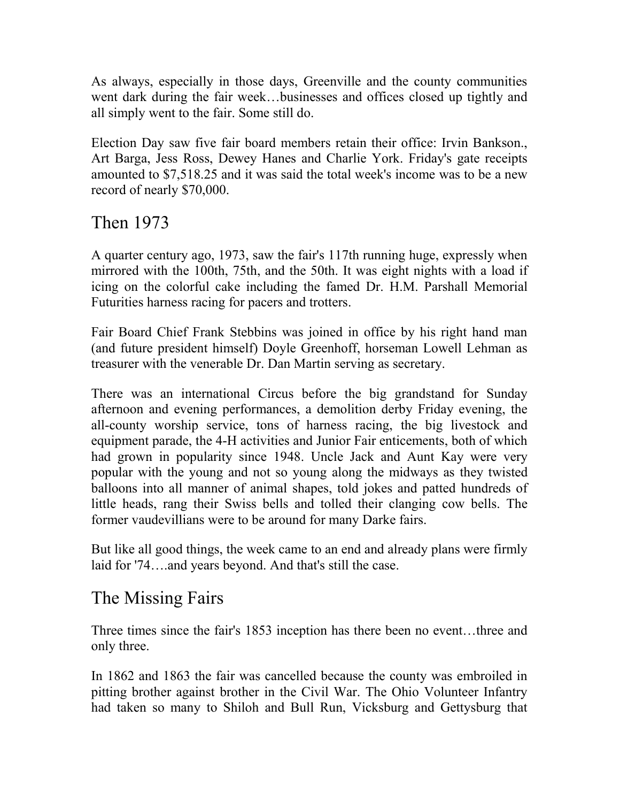As always, especially in those days, Greenville and the county communities went dark during the fair week…businesses and offices closed up tightly and all simply went to the fair. Some still do.

Election Day saw five fair board members retain their office: Irvin Bankson., Art Barga, Jess Ross, Dewey Hanes and Charlie York. Friday's gate receipts amounted to \$7,518.25 and it was said the total week's income was to be a new record of nearly \$70,000.

### Then 1973

A quarter century ago, 1973, saw the fair's 117th running huge, expressly when mirrored with the 100th, 75th, and the 50th. It was eight nights with a load if icing on the colorful cake including the famed Dr. H.M. Parshall Memorial Futurities harness racing for pacers and trotters.

Fair Board Chief Frank Stebbins was joined in office by his right hand man (and future president himself) Doyle Greenhoff, horseman Lowell Lehman as treasurer with the venerable Dr. Dan Martin serving as secretary.

There was an international Circus before the big grandstand for Sunday afternoon and evening performances, a demolition derby Friday evening, the all-county worship service, tons of harness racing, the big livestock and equipment parade, the 4-H activities and Junior Fair enticements, both of which had grown in popularity since 1948. Uncle Jack and Aunt Kay were very popular with the young and not so young along the midways as they twisted balloons into all manner of animal shapes, told jokes and patted hundreds of little heads, rang their Swiss bells and tolled their clanging cow bells. The former vaudevillians were to be around for many Darke fairs.

But like all good things, the week came to an end and already plans were firmly laid for '74….and years beyond. And that's still the case.

### The Missing Fairs

Three times since the fair's 1853 inception has there been no event…three and only three.

In 1862 and 1863 the fair was cancelled because the county was embroiled in pitting brother against brother in the Civil War. The Ohio Volunteer Infantry had taken so many to Shiloh and Bull Run, Vicksburg and Gettysburg that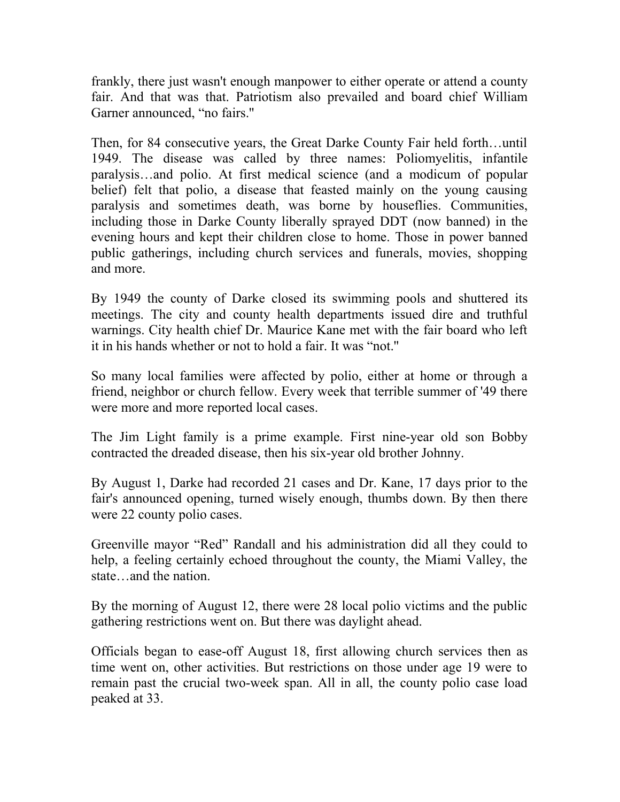frankly, there just wasn't enough manpower to either operate or attend a county fair. And that was that. Patriotism also prevailed and board chief William Garner announced, "no fairs.''

Then, for 84 consecutive years, the Great Darke County Fair held forth…until 1949. The disease was called by three names: Poliomyelitis, infantile paralysis…and polio. At first medical science (and a modicum of popular belief) felt that polio, a disease that feasted mainly on the young causing paralysis and sometimes death, was borne by houseflies. Communities, including those in Darke County liberally sprayed DDT (now banned) in the evening hours and kept their children close to home. Those in power banned public gatherings, including church services and funerals, movies, shopping and more.

By 1949 the county of Darke closed its swimming pools and shuttered its meetings. The city and county health departments issued dire and truthful warnings. City health chief Dr. Maurice Kane met with the fair board who left it in his hands whether or not to hold a fair. It was "not.''

So many local families were affected by polio, either at home or through a friend, neighbor or church fellow. Every week that terrible summer of '49 there were more and more reported local cases.

The Jim Light family is a prime example. First nine-year old son Bobby contracted the dreaded disease, then his six-year old brother Johnny.

By August 1, Darke had recorded 21 cases and Dr. Kane, 17 days prior to the fair's announced opening, turned wisely enough, thumbs down. By then there were 22 county polio cases.

Greenville mayor "Red" Randall and his administration did all they could to help, a feeling certainly echoed throughout the county, the Miami Valley, the state…and the nation.

By the morning of August 12, there were 28 local polio victims and the public gathering restrictions went on. But there was daylight ahead.

Officials began to ease-off August 18, first allowing church services then as time went on, other activities. But restrictions on those under age 19 were to remain past the crucial two-week span. All in all, the county polio case load peaked at 33.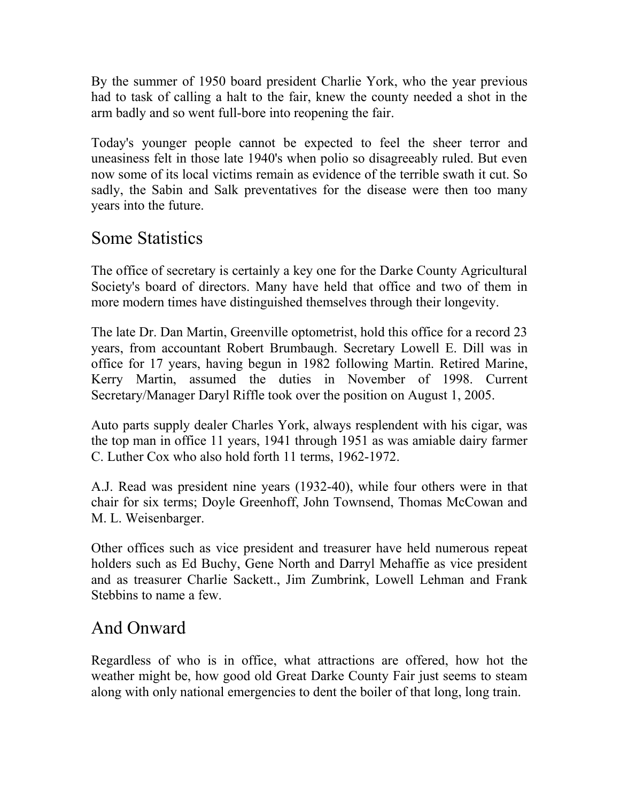By the summer of 1950 board president Charlie York, who the year previous had to task of calling a halt to the fair, knew the county needed a shot in the arm badly and so went full-bore into reopening the fair.

Today's younger people cannot be expected to feel the sheer terror and uneasiness felt in those late 1940's when polio so disagreeably ruled. But even now some of its local victims remain as evidence of the terrible swath it cut. So sadly, the Sabin and Salk preventatives for the disease were then too many years into the future.

### Some Statistics

The office of secretary is certainly a key one for the Darke County Agricultural Society's board of directors. Many have held that office and two of them in more modern times have distinguished themselves through their longevity.

The late Dr. Dan Martin, Greenville optometrist, hold this office for a record 23 years, from accountant Robert Brumbaugh. Secretary Lowell E. Dill was in office for 17 years, having begun in 1982 following Martin. Retired Marine, Kerry Martin, assumed the duties in November of 1998. Current Secretary/Manager Daryl Riffle took over the position on August 1, 2005.

Auto parts supply dealer Charles York, always resplendent with his cigar, was the top man in office 11 years, 1941 through 1951 as was amiable dairy farmer C. Luther Cox who also hold forth 11 terms, 1962-1972.

A.J. Read was president nine years (1932-40), while four others were in that chair for six terms; Doyle Greenhoff, John Townsend, Thomas McCowan and M. L. Weisenbarger.

Other offices such as vice president and treasurer have held numerous repeat holders such as Ed Buchy, Gene North and Darryl Mehaffie as vice president and as treasurer Charlie Sackett., Jim Zumbrink, Lowell Lehman and Frank Stebbins to name a few.

# And Onward

Regardless of who is in office, what attractions are offered, how hot the weather might be, how good old Great Darke County Fair just seems to steam along with only national emergencies to dent the boiler of that long, long train.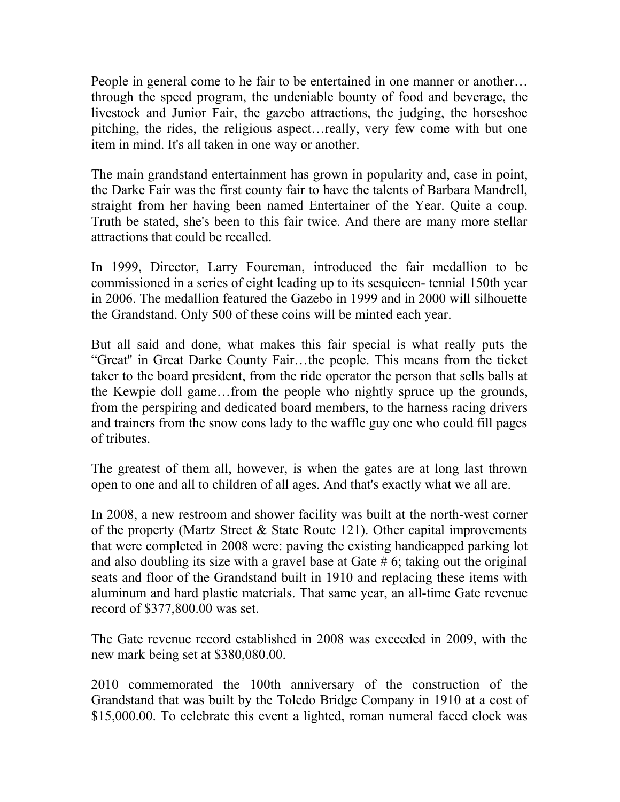People in general come to he fair to be entertained in one manner or another… through the speed program, the undeniable bounty of food and beverage, the livestock and Junior Fair, the gazebo attractions, the judging, the horseshoe pitching, the rides, the religious aspect…really, very few come with but one item in mind. It's all taken in one way or another.

The main grandstand entertainment has grown in popularity and, case in point, the Darke Fair was the first county fair to have the talents of Barbara Mandrell, straight from her having been named Entertainer of the Year. Quite a coup. Truth be stated, she's been to this fair twice. And there are many more stellar attractions that could be recalled.

In 1999, Director, Larry Foureman, introduced the fair medallion to be commissioned in a series of eight leading up to its sesquicen- tennial 150th year in 2006. The medallion featured the Gazebo in 1999 and in 2000 will silhouette the Grandstand. Only 500 of these coins will be minted each year.

But all said and done, what makes this fair special is what really puts the "Great'' in Great Darke County Fair…the people. This means from the ticket taker to the board president, from the ride operator the person that sells balls at the Kewpie doll game…from the people who nightly spruce up the grounds, from the perspiring and dedicated board members, to the harness racing drivers and trainers from the snow cons lady to the waffle guy one who could fill pages of tributes.

The greatest of them all, however, is when the gates are at long last thrown open to one and all to children of all ages. And that's exactly what we all are.

In 2008, a new restroom and shower facility was built at the north-west corner of the property (Martz Street & State Route 121). Other capital improvements that were completed in 2008 were: paving the existing handicapped parking lot and also doubling its size with a gravel base at Gate  $# 6$ ; taking out the original seats and floor of the Grandstand built in 1910 and replacing these items with aluminum and hard plastic materials. That same year, an all-time Gate revenue record of \$377,800.00 was set.

The Gate revenue record established in 2008 was exceeded in 2009, with the new mark being set at \$380,080.00.

2010 commemorated the 100th anniversary of the construction of the Grandstand that was built by the Toledo Bridge Company in 1910 at a cost of \$15,000.00. To celebrate this event a lighted, roman numeral faced clock was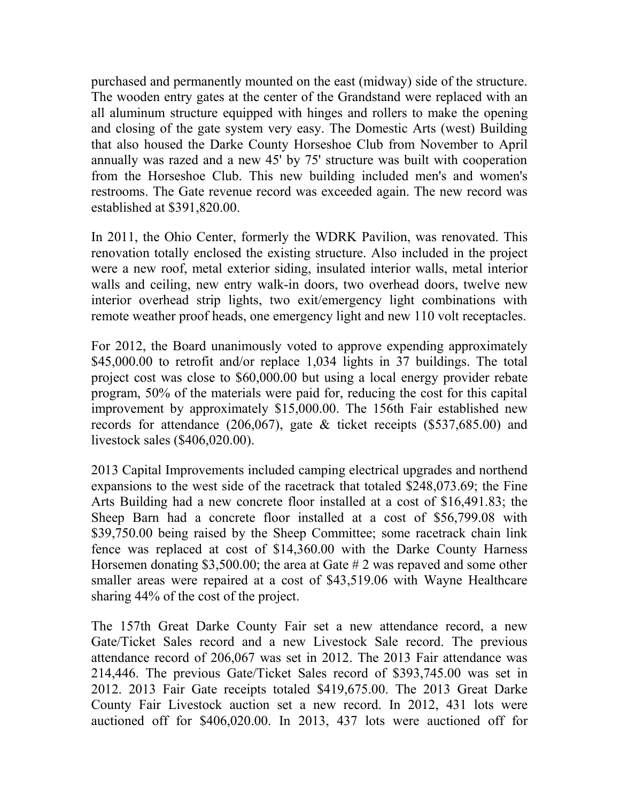purchased and permanently mounted on the east (midway) side of the structure. The wooden entry gates at the center of the Grandstand were replaced with an all aluminum structure equipped with hinges and rollers to make the opening and closing of the gate system very easy. The Domestic Arts (west) Building that also housed the Darke County Horseshoe Club from November to April annually was razed and a new 45' by 75' structure was built with cooperation from the Horseshoe Club. This new building included men's and women's restrooms. The Gate revenue record was exceeded again. The new record was established at \$391,820.00.

In 2011, the Ohio Center, formerly the WDRK Pavilion, was renovated. This renovation totally enclosed the existing structure. Also included in the project were a new roof, metal exterior siding, insulated interior walls, metal interior walls and ceiling, new entry walk-in doors, two overhead doors, twelve new interior overhead strip lights, two exit/emergency light combinations with remote weather proof heads, one emergency light and new 110 volt receptacles.

For 2012, the Board unanimously voted to approve expending approximately \$45,000.00 to retrofit and/or replace 1,034 lights in 37 buildings. The total project cost was close to \$60,000.00 but using a local energy provider rebate program, 50% of the materials were paid for, reducing the cost for this capital improvement by approximately \$15,000.00. The 156th Fair established new records for attendance (206,067), gate & ticket receipts (\$537,685.00) and livestock sales (\$406,020.00).

2013 Capital Improvements included camping electrical upgrades and northend expansions to the west side of the racetrack that totaled \$248,073.69; the Fine Arts Building had a new concrete floor installed at a cost of \$16,491.83; the Sheep Barn had a concrete floor installed at a cost of \$56,799.08 with \$39,750.00 being raised by the Sheep Committee; some racetrack chain link fence was replaced at cost of \$14,360.00 with the Darke County Harness Horsemen donating \$3,500.00; the area at Gate # 2 was repaved and some other smaller areas were repaired at a cost of \$43,519.06 with Wayne Healthcare sharing 44% of the cost of the project.

The 157th Great Darke County Fair set a new attendance record, a new Gate/Ticket Sales record and a new Livestock Sale record. The previous attendance record of 206,067 was set in 2012. The 2013 Fair attendance was 214,446. The previous Gate/Ticket Sales record of \$393,745.00 was set in 2012. 2013 Fair Gate receipts totaled \$419,675.00. The 2013 Great Darke County Fair Livestock auction set a new record. In 2012, 431 lots were auctioned off for \$406,020.00. In 2013, 437 lots were auctioned off for